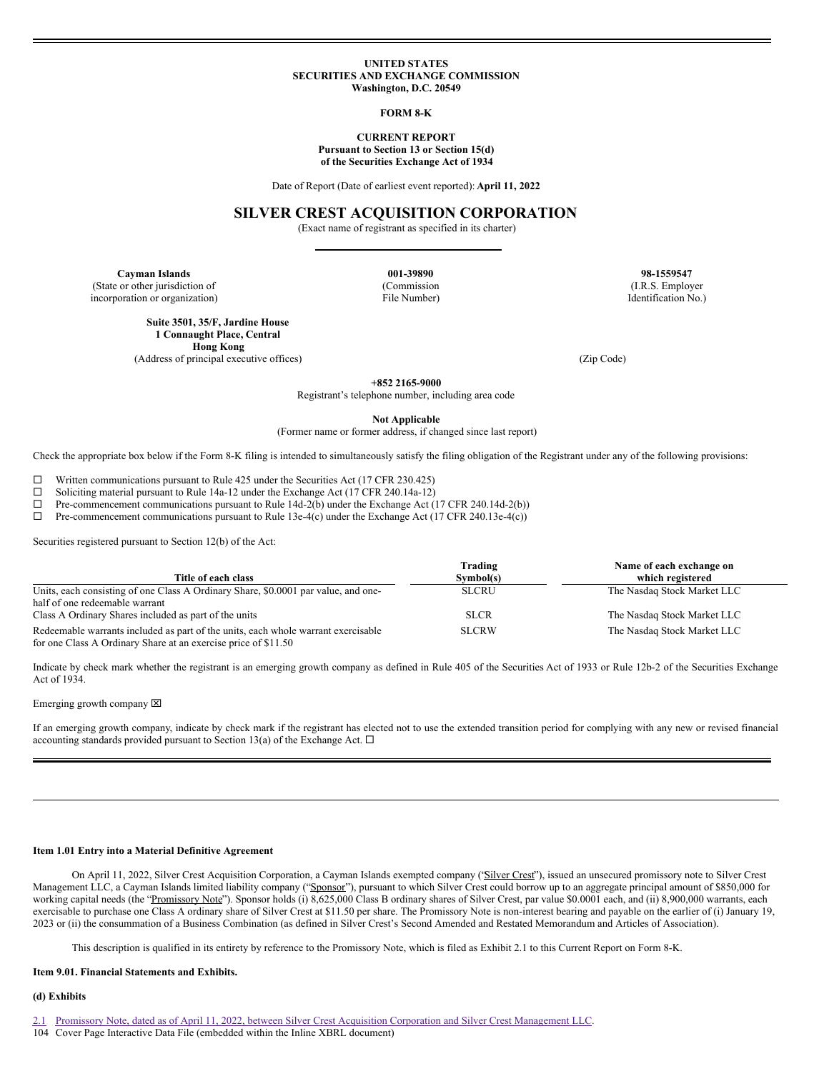### **UNITED STATES SECURITIES AND EXCHANGE COMMISSION Washington, D.C. 20549**

#### **FORM 8-K**

#### **CURRENT REPORT Pursuant to Section 13 or Section 15(d)**

**of the Securities Exchange Act of 1934**

Date of Report (Date of earliest event reported): **April 11, 2022**

## **SILVER CREST ACQUISITION CORPORATION**

(Exact name of registrant as specified in its charter)

**Cayman Islands 001-39890 98-1559547** (State or other jurisdiction of (Commission (I.R.S. Employer

incorporation or organization) File Number) Identification No.)

**Suite 3501, 35/F, Jardine House 1 Connaught Place, Central Hong Kong**

(Address of principal executive offices) (Zip Code)

**+852 2165-9000**

Registrant's telephone number, including area code

**Not Applicable**

(Former name or former address, if changed since last report)

Check the appropriate box below if the Form 8-K filing is intended to simultaneously satisfy the filing obligation of the Registrant under any of the following provisions:

 $□$  Written communications pursuant to Rule 425 under the Securities Act (17 CFR 230.425)<br>□ Soliciting material pursuant to Rule 14a-12 under the Exchange Act (17 CFR 240.14a-12)

<p>\n The <math>□</math> <i>Soliciting material pursuit to Rule 14a-12 under the Exchange Act (17 CFR 240.14a-12)</i>.\n The <i>Commencement communications pursuit to Rule 14d-2(b) under the Exchange Act (</i>\n</p>

¨ Pre-commencement communications pursuant to Rule 14d-2(b) under the Exchange Act (17 CFR 240.14d-2(b))

 $\Box$  Pre-commencement communications pursuant to Rule 13e-4(c) under the Exchange Act (17 CFR 240.13e-4(c))

Securities registered pursuant to Section 12(b) of the Act:

| Title of each class                                                                | Trading<br>Symbol(s) | Name of each exchange on<br>which registered |
|------------------------------------------------------------------------------------|----------------------|----------------------------------------------|
|                                                                                    |                      |                                              |
| Units, each consisting of one Class A Ordinary Share, \$0,0001 par value, and one- | <b>SLCRU</b>         | The Nasdaq Stock Market LLC                  |
| half of one redeemable warrant                                                     |                      |                                              |
| Class A Ordinary Shares included as part of the units                              | <b>SLCR</b>          | The Nasdaq Stock Market LLC                  |
| Redeemable warrants included as part of the units, each whole warrant exercisable  | <b>SLCRW</b>         | The Nasdaq Stock Market LLC                  |
| for one Class A Ordinary Share at an exercise price of \$11.50                     |                      |                                              |

Indicate by check mark whether the registrant is an emerging growth company as defined in Rule 405 of the Securities Act of 1933 or Rule 12b-2 of the Securities Exchange Act of 1934.

Emerging growth company  $\boxtimes$ 

If an emerging growth company, indicate by check mark if the registrant has elected not to use the extended transition period for complying with any new or revised financial accounting standards provided pursuant to Section 13(a) of the Exchange Act.  $\Box$ 

## **Item 1.01 Entry into a Material Definitive Agreement**

On April 11, 2022, Silver Crest Acquisition Corporation, a Cayman Islands exempted company ('Silver Crest''), issued an unsecured promissory note to Silver Crest Management LLC, a Cayman Islands limited liability company ("Sponsor"), pursuant to which Silver Crest could borrow up to an aggregate principal amount of \$850,000 for working capital needs (the "Promissory Note"). Sponsor holds (i) 8,625,000 Class B ordinary shares of Silver Crest, par value \$0.0001 each, and (ii) 8,900,000 warrants, each exercisable to purchase one Class A ordinary share of Silver Crest at \$11.50 per share. The Promissory Note is non-interest bearing and payable on the earlier of (i) January 19, 2023 or (ii) the consummation of a Business Combination (as defined in Silver Crest's Second Amended and Restated Memorandum and Articles of Association).

This description is qualified in its entirety by reference to the Promissory Note, which is filed as Exhibit 2.1 to this Current Report on Form 8-K.

#### **Item 9.01. Financial Statements and Exhibits.**

### **(d) Exhibits**

- [2.1](#page-2-0) Promissory Note, dated as of April 11, 2022, between Silver Crest Acquisition Corporation and Silver Crest [Management](#page-2-0) LLC.
- 104 Cover Page Interactive Data File (embedded within the Inline XBRL document)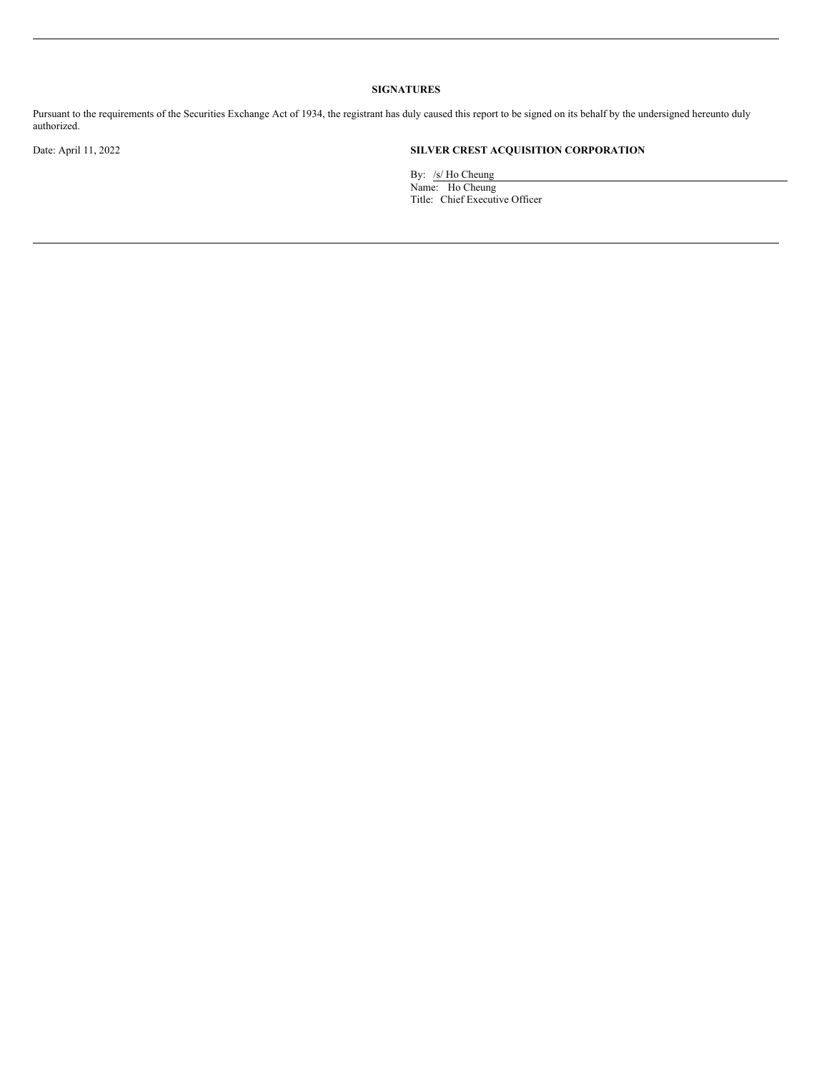# **SIGNATURES**

Pursuant to the requirements of the Securities Exchange Act of 1934, the registrant has duly caused this report to be signed on its behalf by the undersigned hereunto duly authorized.

# Date: April 11, 2022 **SILVER CREST ACQUISITION CORPORATION**

By: /s/ Ho Cheung Name: Ho Cheung Title: Chief Executive Officer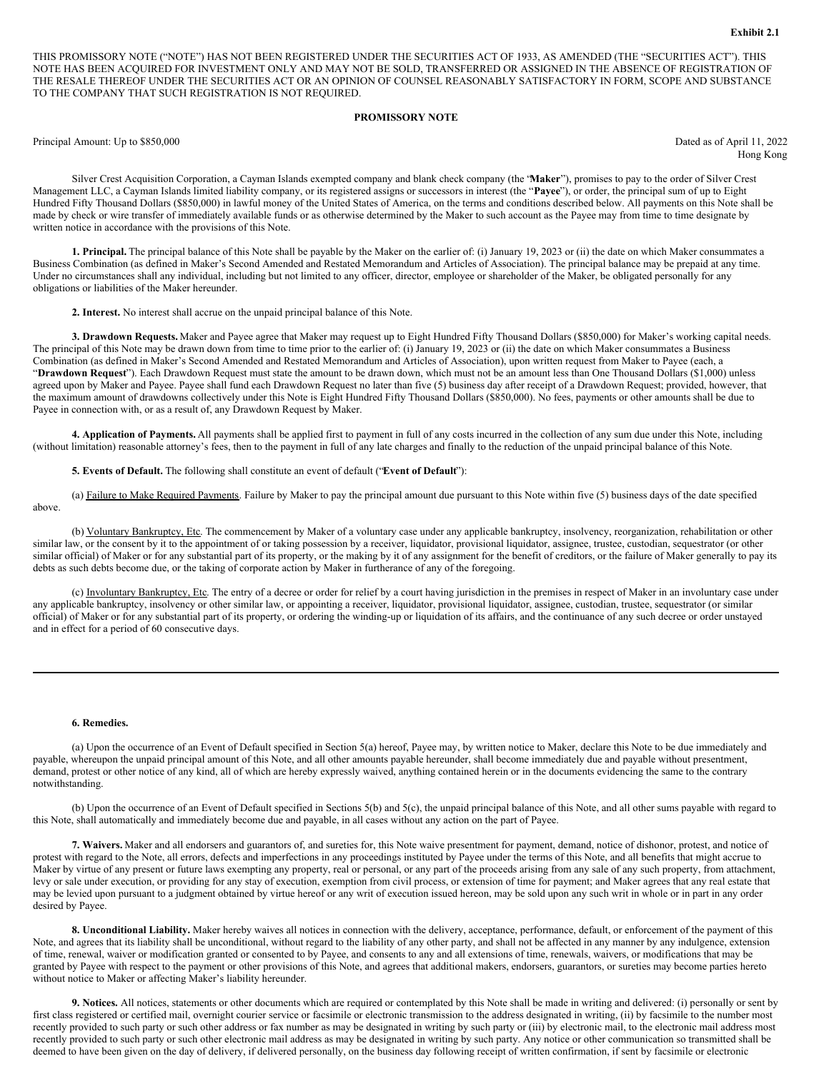<span id="page-2-0"></span>THIS PROMISSORY NOTE ("NOTE") HAS NOT BEEN REGISTERED UNDER THE SECURITIES ACT OF 1933, AS AMENDED (THE "SECURITIES ACT"). THIS NOTE HAS BEEN ACQUIRED FOR INVESTMENT ONLY AND MAY NOT BE SOLD, TRANSFERRED OR ASSIGNED IN THE ABSENCE OF REGISTRATION OF THE RESALE THEREOF UNDER THE SECURITIES ACT OR AN OPINION OF COUNSEL REASONABLY SATISFACTORY IN FORM, SCOPE AND SUBSTANCE TO THE COMPANY THAT SUCH REGISTRATION IS NOT REQUIRED.

## **PROMISSORY NOTE**

Principal Amount: Up to \$850,000 Dated as of April 11, 2022

Hong Kong

Silver Crest Acquisition Corporation, a Cayman Islands exempted company and blank check company (the "**Maker**"), promises to pay to the order of Silver Crest Management LLC, a Cayman Islands limited liability company, or its registered assigns or successors in interest (the "**Payee**"), or order, the principal sum of up to Eight Hundred Fifty Thousand Dollars (\$850,000) in lawful money of the United States of America, on the terms and conditions described below. All payments on this Note shall be made by check or wire transfer of immediately available funds or as otherwise determined by the Maker to such account as the Payee may from time to time designate by written notice in accordance with the provisions of this Note.

**1. Principal.** The principal balance of this Note shall be payable by the Maker on the earlier of: (i) January 19, 2023 or (ii) the date on which Maker consummates a Business Combination (as defined in Maker's Second Amended and Restated Memorandum and Articles of Association). The principal balance may be prepaid at any time. Under no circumstances shall any individual, including but not limited to any officer, director, employee or shareholder of the Maker, be obligated personally for any obligations or liabilities of the Maker hereunder.

**2. Interest.** No interest shall accrue on the unpaid principal balance of this Note.

**3. Drawdown Requests.** Maker and Payee agree that Maker may request up to Eight Hundred Fifty Thousand Dollars (\$850,000) for Maker's working capital needs. The principal of this Note may be drawn down from time to time prior to the earlier of: (i) January 19, 2023 or (ii) the date on which Maker consummates a Business Combination (as defined in Maker's Second Amended and Restated Memorandum and Articles of Association), upon written request from Maker to Payee (each, a "**Drawdown Request**"). Each Drawdown Request must state the amount to be drawn down, which must not be an amount less than One Thousand Dollars (\$1,000) unless agreed upon by Maker and Payee. Payee shall fund each Drawdown Request no later than five (5) business day after receipt of a Drawdown Request; provided, however, that the maximum amount of drawdowns collectively under this Note is Eight Hundred Fifty Thousand Dollars (\$850,000). No fees, payments or other amounts shall be due to Payee in connection with, or as a result of, any Drawdown Request by Maker.

**4. Application of Payments.** All payments shall be applied first to payment in full of any costs incurred in the collection of any sum due under this Note, including (without limitation) reasonable attorney's fees, then to the payment in full of any late charges and finally to the reduction of the unpaid principal balance of this Note.

**5. Events of Default.** The following shall constitute an event of default ("**Event of Default**"):

(a) Failure to Make Required Payments. Failure by Maker to pay the principal amount due pursuant to this Note within five (5) business days of the date specified above.

(b) Voluntary Bankruptcy, Etc. The commencement by Maker of a voluntary case under any applicable bankruptcy, insolvency, reorganization, rehabilitation or other similar law, or the consent by it to the appointment of or taking possession by a receiver, liquidator, provisional liquidator, assignee, trustee, custodian, sequestrator (or other similar official) of Maker or for any substantial part of its property, or the making by it of any assignment for the benefit of creditors, or the failure of Maker generally to pay its debts as such debts become due, or the taking of corporate action by Maker in furtherance of any of the foregoing.

(c) Involuntary Bankruptcy, Etc. The entry of a decree or order for relief by a court having jurisdiction in the premises in respect of Maker in an involuntary case under any applicable bankruptcy, insolvency or other similar law, or appointing a receiver, liquidator, provisional liquidator, assignee, custodian, trustee, sequestrator (or similar official) of Maker or for any substantial part of its property, or ordering the winding-up or liquidation of its affairs, and the continuance of any such decree or order unstayed and in effect for a period of 60 consecutive days.

#### **6. Remedies.**

(a) Upon the occurrence of an Event of Default specified in Section 5(a) hereof, Payee may, by written notice to Maker, declare this Note to be due immediately and payable, whereupon the unpaid principal amount of this Note, and all other amounts payable hereunder, shall become immediately due and payable without presentment, demand, protest or other notice of any kind, all of which are hereby expressly waived, anything contained herein or in the documents evidencing the same to the contrary notwithstanding.

(b) Upon the occurrence of an Event of Default specified in Sections 5(b) and 5(c), the unpaid principal balance of this Note, and all other sums payable with regard to this Note, shall automatically and immediately become due and payable, in all cases without any action on the part of Payee.

**7. Waivers.** Maker and all endorsers and guarantors of, and sureties for, this Note waive presentment for payment, demand, notice of dishonor, protest, and notice of protest with regard to the Note, all errors, defects and imperfections in any proceedings instituted by Payee under the terms of this Note, and all benefits that might accrue to Maker by virtue of any present or future laws exempting any property, real or personal, or any part of the proceeds arising from any sale of any such property, from attachment, levy or sale under execution, or providing for any stay of execution, exemption from civil process, or extension of time for payment; and Maker agrees that any real estate that may be levied upon pursuant to a judgment obtained by virtue hereof or any writ of execution issued hereon, may be sold upon any such writ in whole or in part in any order desired by Payee.

**8. Unconditional Liability.** Maker hereby waives all notices in connection with the delivery, acceptance, performance, default, or enforcement of the payment of this Note, and agrees that its liability shall be unconditional, without regard to the liability of any other party, and shall not be affected in any manner by any indulgence, extension of time, renewal, waiver or modification granted or consented to by Payee, and consents to any and all extensions of time, renewals, waivers, or modifications that may be granted by Payee with respect to the payment or other provisions of this Note, and agrees that additional makers, endorsers, guarantors, or sureties may become parties hereto without notice to Maker or affecting Maker's liability hereunder.

**9. Notices.** All notices, statements or other documents which are required or contemplated by this Note shall be made in writing and delivered: (i) personally or sent by first class registered or certified mail, overnight courier service or facsimile or electronic transmission to the address designated in writing, (ii) by facsimile to the number most recently provided to such party or such other address or fax number as may be designated in writing by such party or (iii) by electronic mail, to the electronic mail address most recently provided to such party or such other electronic mail address as may be designated in writing by such party. Any notice or other communication so transmitted shall be deemed to have been given on the day of delivery, if delivered personally, on the business day following receipt of written confirmation, if sent by facsimile or electronic